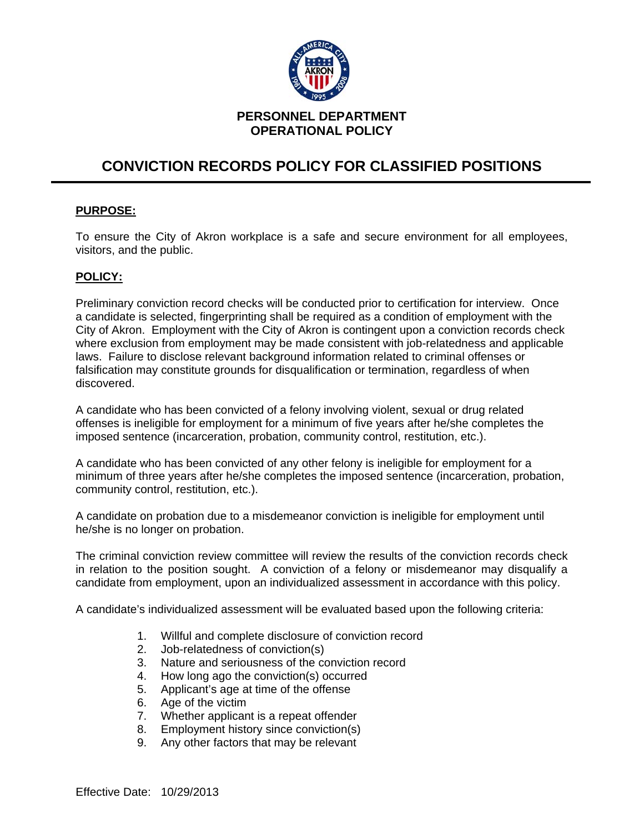

## **PERSONNEL DEPARTMENT OPERATIONAL POLICY**

## **CONVICTION RECORDS POLICY FOR CLASSIFIED POSITIONS**

## **PURPOSE:**

To ensure the City of Akron workplace is a safe and secure environment for all employees, visitors, and the public.

## **POLICY:**

Preliminary conviction record checks will be conducted prior to certification for interview. Once a candidate is selected, fingerprinting shall be required as a condition of employment with the City of Akron. Employment with the City of Akron is contingent upon a conviction records check where exclusion from employment may be made consistent with job-relatedness and applicable laws. Failure to disclose relevant background information related to criminal offenses or falsification may constitute grounds for disqualification or termination, regardless of when discovered.

A candidate who has been convicted of a felony involving violent, sexual or drug related offenses is ineligible for employment for a minimum of five years after he/she completes the imposed sentence (incarceration, probation, community control, restitution, etc.).

A candidate who has been convicted of any other felony is ineligible for employment for a minimum of three years after he/she completes the imposed sentence (incarceration, probation, community control, restitution, etc.).

A candidate on probation due to a misdemeanor conviction is ineligible for employment until he/she is no longer on probation.

The criminal conviction review committee will review the results of the conviction records check in relation to the position sought. A conviction of a felony or misdemeanor may disqualify a candidate from employment, upon an individualized assessment in accordance with this policy.

A candidate's individualized assessment will be evaluated based upon the following criteria:

- 1. Willful and complete disclosure of conviction record
- 2. Job-relatedness of conviction(s)
- 3. Nature and seriousness of the conviction record
- 4. How long ago the conviction(s) occurred
- 5. Applicant's age at time of the offense
- 6. Age of the victim
- 7. Whether applicant is a repeat offender
- 8. Employment history since conviction(s)
- 9. Any other factors that may be relevant